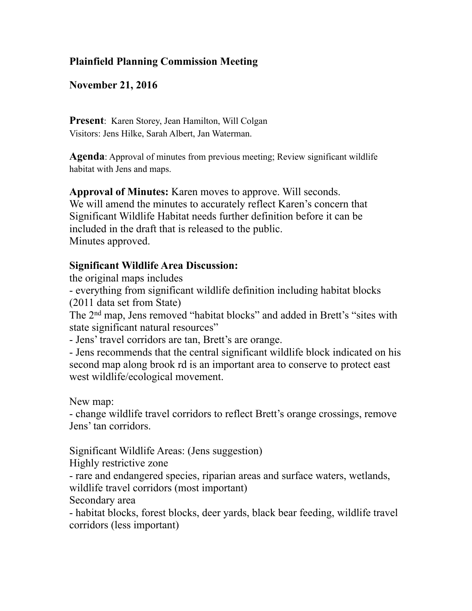## **Plainfield Planning Commission Meeting**

## **November 21, 2016**

**Present**: Karen Storey, Jean Hamilton, Will Colgan Visitors: Jens Hilke, Sarah Albert, Jan Waterman.

**Agenda**: Approval of minutes from previous meeting; Review significant wildlife habitat with Jens and maps.

**Approval of Minutes:** Karen moves to approve. Will seconds. We will amend the minutes to accurately reflect Karen's concern that Significant Wildlife Habitat needs further definition before it can be included in the draft that is released to the public. Minutes approved.

## **Significant Wildlife Area Discussion:**

the original maps includes

- everything from significant wildlife definition including habitat blocks (2011 data set from State)

The 2nd map, Jens removed "habitat blocks" and added in Brett's "sites with state significant natural resources"

- Jens' travel corridors are tan, Brett's are orange.

- Jens recommends that the central significant wildlife block indicated on his second map along brook rd is an important area to conserve to protect east west wildlife/ecological movement.

New map:

- change wildlife travel corridors to reflect Brett's orange crossings, remove Jens' tan corridors.

Significant Wildlife Areas: (Jens suggestion)

Highly restrictive zone

- rare and endangered species, riparian areas and surface waters, wetlands, wildlife travel corridors (most important)

Secondary area

- habitat blocks, forest blocks, deer yards, black bear feeding, wildlife travel corridors (less important)